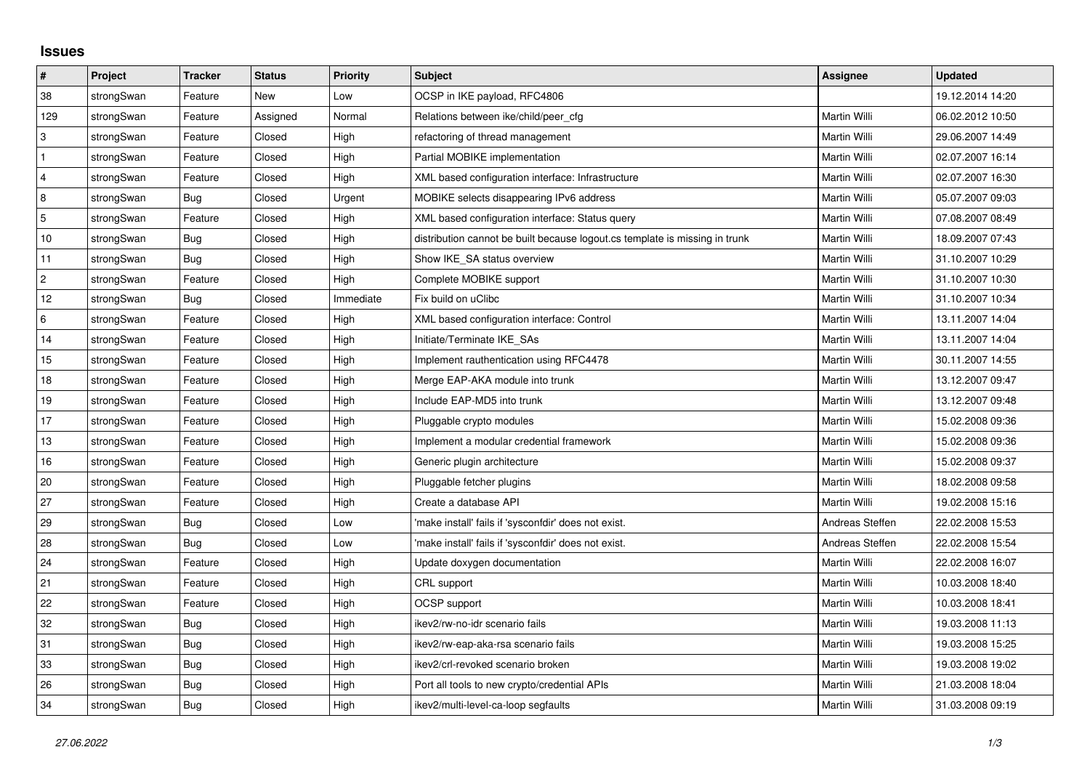## **Issues**

| $\pmb{\sharp}$ | Project    | <b>Tracker</b> | <b>Status</b> | <b>Priority</b> | <b>Subject</b>                                                              | <b>Assignee</b> | <b>Updated</b>   |
|----------------|------------|----------------|---------------|-----------------|-----------------------------------------------------------------------------|-----------------|------------------|
| 38             | strongSwan | Feature        | <b>New</b>    | Low             | OCSP in IKE payload, RFC4806                                                |                 | 19.12.2014 14:20 |
| 129            | strongSwan | Feature        | Assigned      | Normal          | Relations between ike/child/peer cfg                                        | Martin Willi    | 06.02.2012 10:50 |
| 3              | strongSwan | Feature        | Closed        | High            | refactoring of thread management                                            | Martin Willi    | 29.06.2007 14:49 |
| $\mathbf{1}$   | strongSwan | Feature        | Closed        | High            | Partial MOBIKE implementation                                               | Martin Willi    | 02.07.2007 16:14 |
| $\overline{4}$ | strongSwan | Feature        | Closed        | High            | XML based configuration interface: Infrastructure                           | Martin Willi    | 02.07.2007 16:30 |
| 8              | strongSwan | <b>Bug</b>     | Closed        | Urgent          | MOBIKE selects disappearing IPv6 address                                    | Martin Willi    | 05.07.2007 09:03 |
| 5              | strongSwan | Feature        | Closed        | High            | XML based configuration interface: Status query                             | Martin Willi    | 07.08.2007 08:49 |
| 10             | strongSwan | Bug            | Closed        | High            | distribution cannot be built because logout.cs template is missing in trunk | Martin Willi    | 18.09.2007 07:43 |
| 11             | strongSwan | Bug            | Closed        | High            | Show IKE_SA status overview                                                 | Martin Willi    | 31.10.2007 10:29 |
| $\overline{c}$ | strongSwan | Feature        | Closed        | High            | Complete MOBIKE support                                                     | Martin Willi    | 31.10.2007 10:30 |
| 12             | strongSwan | Bug            | Closed        | Immediate       | Fix build on uClibc                                                         | Martin Willi    | 31.10.2007 10:34 |
| 6              | strongSwan | Feature        | Closed        | High            | XML based configuration interface: Control                                  | Martin Willi    | 13.11.2007 14:04 |
| 14             | strongSwan | Feature        | Closed        | High            | Initiate/Terminate IKE SAs                                                  | Martin Willi    | 13.11.2007 14:04 |
| 15             | strongSwan | Feature        | Closed        | High            | Implement rauthentication using RFC4478                                     | Martin Willi    | 30.11.2007 14:55 |
| 18             | strongSwan | Feature        | Closed        | High            | Merge EAP-AKA module into trunk                                             | Martin Willi    | 13.12.2007 09:47 |
| 19             | strongSwan | Feature        | Closed        | High            | Include EAP-MD5 into trunk                                                  | Martin Willi    | 13.12.2007 09:48 |
| 17             | strongSwan | Feature        | Closed        | High            | Pluggable crypto modules                                                    | Martin Willi    | 15.02.2008 09:36 |
| 13             | strongSwan | Feature        | Closed        | High            | Implement a modular credential framework                                    | Martin Willi    | 15.02.2008 09:36 |
| 16             | strongSwan | Feature        | Closed        | High            | Generic plugin architecture                                                 | Martin Willi    | 15.02.2008 09:37 |
| 20             | strongSwan | Feature        | Closed        | High            | Pluggable fetcher plugins                                                   | Martin Willi    | 18.02.2008 09:58 |
| 27             | strongSwan | Feature        | Closed        | High            | Create a database API                                                       | Martin Willi    | 19.02.2008 15:16 |
| 29             | strongSwan | Bug            | Closed        | Low             | 'make install' fails if 'sysconfdir' does not exist.                        | Andreas Steffen | 22.02.2008 15:53 |
| 28             | strongSwan | Bug            | Closed        | Low             | 'make install' fails if 'sysconfdir' does not exist.                        | Andreas Steffen | 22.02.2008 15:54 |
| 24             | strongSwan | Feature        | Closed        | High            | Update doxygen documentation                                                | Martin Willi    | 22.02.2008 16:07 |
| 21             | strongSwan | Feature        | Closed        | High            | CRL support                                                                 | Martin Willi    | 10.03.2008 18:40 |
| 22             | strongSwan | Feature        | Closed        | High            | OCSP support                                                                | Martin Willi    | 10.03.2008 18:41 |
| 32             | strongSwan | Bug            | Closed        | High            | ikev2/rw-no-idr scenario fails                                              | Martin Willi    | 19.03.2008 11:13 |
| 31             | strongSwan | <b>Bug</b>     | Closed        | High            | ikev2/rw-eap-aka-rsa scenario fails                                         | Martin Willi    | 19.03.2008 15:25 |
| 33             | strongSwan | Bug            | Closed        | High            | ikev2/crl-revoked scenario broken                                           | Martin Willi    | 19.03.2008 19:02 |
| 26             | strongSwan | Bug            | Closed        | High            | Port all tools to new crypto/credential APIs                                | Martin Willi    | 21.03.2008 18:04 |
| 34             | strongSwan | Bug            | Closed        | High            | ikev2/multi-level-ca-loop segfaults                                         | Martin Willi    | 31.03.2008 09:19 |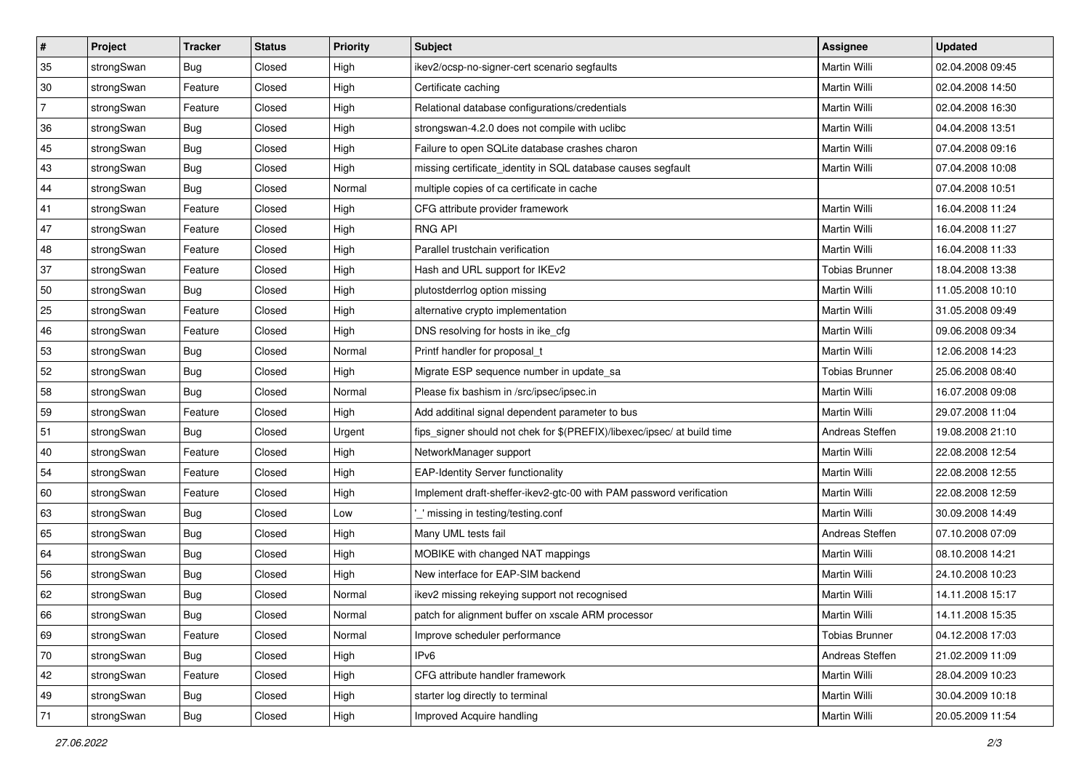| #              | Project    | <b>Tracker</b> | <b>Status</b> | <b>Priority</b> | Subject                                                                 | Assignee              | <b>Updated</b>   |
|----------------|------------|----------------|---------------|-----------------|-------------------------------------------------------------------------|-----------------------|------------------|
| 35             | strongSwan | <b>Bug</b>     | Closed        | High            | ikev2/ocsp-no-signer-cert scenario segfaults                            | Martin Willi          | 02.04.2008 09:45 |
| 30             | strongSwan | Feature        | Closed        | High            | Certificate caching                                                     | Martin Willi          | 02.04.2008 14:50 |
| $\overline{7}$ | strongSwan | Feature        | Closed        | High            | Relational database configurations/credentials                          | Martin Willi          | 02.04.2008 16:30 |
| 36             | strongSwan | Bug            | Closed        | High            | strongswan-4.2.0 does not compile with uclibc                           | Martin Willi          | 04.04.2008 13:51 |
| 45             | strongSwan | Bug            | Closed        | High            | Failure to open SQLite database crashes charon                          | Martin Willi          | 07.04.2008 09:16 |
| 43             | strongSwan | <b>Bug</b>     | Closed        | High            | missing certificate_identity in SQL database causes segfault            | Martin Willi          | 07.04.2008 10:08 |
| 44             | strongSwan | Bug            | Closed        | Normal          | multiple copies of ca certificate in cache                              |                       | 07.04.2008 10:51 |
| 41             | strongSwan | Feature        | Closed        | High            | CFG attribute provider framework                                        | Martin Willi          | 16.04.2008 11:24 |
| 47             | strongSwan | Feature        | Closed        | High            | <b>RNG API</b>                                                          | Martin Willi          | 16.04.2008 11:27 |
| 48             | strongSwan | Feature        | Closed        | High            | Parallel trustchain verification                                        | Martin Willi          | 16.04.2008 11:33 |
| 37             | strongSwan | Feature        | Closed        | High            | Hash and URL support for IKEv2                                          | <b>Tobias Brunner</b> | 18.04.2008 13:38 |
| 50             | strongSwan | Bug            | Closed        | High            | plutostderrlog option missing                                           | Martin Willi          | 11.05.2008 10:10 |
| 25             | strongSwan | Feature        | Closed        | High            | alternative crypto implementation                                       | Martin Willi          | 31.05.2008 09:49 |
| 46             | strongSwan | Feature        | Closed        | High            | DNS resolving for hosts in ike_cfg                                      | Martin Willi          | 09.06.2008 09:34 |
| 53             | strongSwan | <b>Bug</b>     | Closed        | Normal          | Printf handler for proposal_t                                           | Martin Willi          | 12.06.2008 14:23 |
| 52             | strongSwan | <b>Bug</b>     | Closed        | High            | Migrate ESP sequence number in update_sa                                | <b>Tobias Brunner</b> | 25.06.2008 08:40 |
| 58             | strongSwan | Bug            | Closed        | Normal          | Please fix bashism in /src/ipsec/ipsec.in                               | Martin Willi          | 16.07.2008 09:08 |
| 59             | strongSwan | Feature        | Closed        | High            | Add additinal signal dependent parameter to bus                         | <b>Martin Willi</b>   | 29.07.2008 11:04 |
| 51             | strongSwan | Bug            | Closed        | Urgent          | fips_signer should not chek for \$(PREFIX)/libexec/ipsec/ at build time | Andreas Steffen       | 19.08.2008 21:10 |
| 40             | strongSwan | Feature        | Closed        | High            | NetworkManager support                                                  | Martin Willi          | 22.08.2008 12:54 |
| 54             | strongSwan | Feature        | Closed        | High            | <b>EAP-Identity Server functionality</b>                                | Martin Willi          | 22.08.2008 12:55 |
| 60             | strongSwan | Feature        | Closed        | High            | Implement draft-sheffer-ikev2-gtc-00 with PAM password verification     | Martin Willi          | 22.08.2008 12:59 |
| 63             | strongSwan | Bug            | Closed        | Low             | _' missing in testing/testing.conf                                      | Martin Willi          | 30.09.2008 14:49 |
| 65             | strongSwan | Bug            | Closed        | High            | Many UML tests fail                                                     | Andreas Steffen       | 07.10.2008 07:09 |
| 64             | strongSwan | Bug            | Closed        | High            | MOBIKE with changed NAT mappings                                        | Martin Willi          | 08.10.2008 14:21 |
| 56             | strongSwan | Bug            | Closed        | High            | New interface for EAP-SIM backend                                       | Martin Willi          | 24.10.2008 10:23 |
| 62             | strongSwan | Bug            | Closed        | Normal          | ikev2 missing rekeying support not recognised                           | Martin Willi          | 14.11.2008 15:17 |
| 66             | strongSwan | <b>Bug</b>     | Closed        | Normal          | patch for alignment buffer on xscale ARM processor                      | Martin Willi          | 14.11.2008 15:35 |
| 69             | strongSwan | Feature        | Closed        | Normal          | Improve scheduler performance                                           | <b>Tobias Brunner</b> | 04.12.2008 17:03 |
| 70             | strongSwan | Bug            | Closed        | High            | IPv6                                                                    | Andreas Steffen       | 21.02.2009 11:09 |
| 42             | strongSwan | Feature        | Closed        | High            | CFG attribute handler framework                                         | Martin Willi          | 28.04.2009 10:23 |
| 49             | strongSwan | Bug            | Closed        | High            | starter log directly to terminal                                        | Martin Willi          | 30.04.2009 10:18 |
| 71             | strongSwan | <b>Bug</b>     | Closed        | High            | Improved Acquire handling                                               | Martin Willi          | 20.05.2009 11:54 |